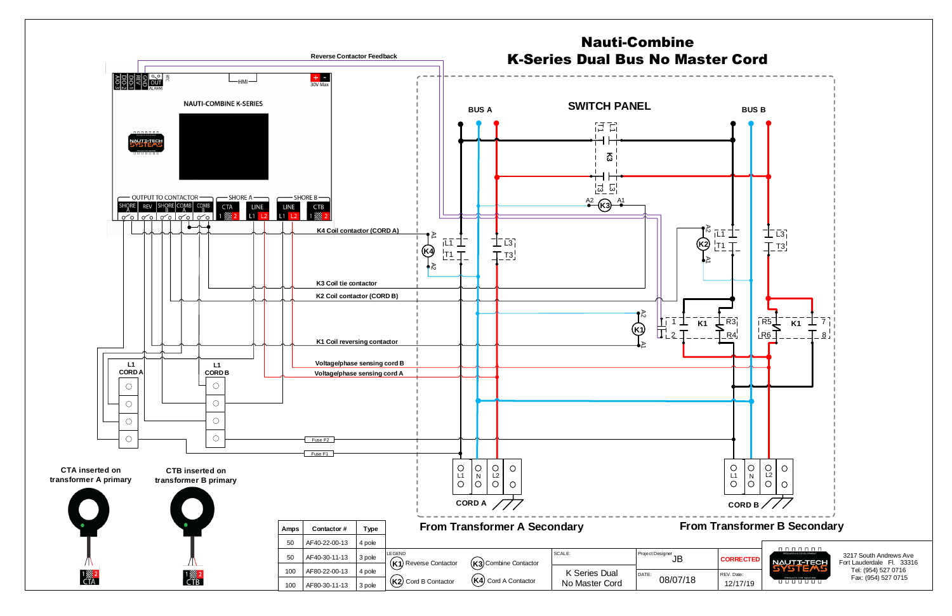3217 South Andrews Ave Fort Lauderdale Fl. 33316 Tel: (954) 527 0716 Fax: (954) 527 0715